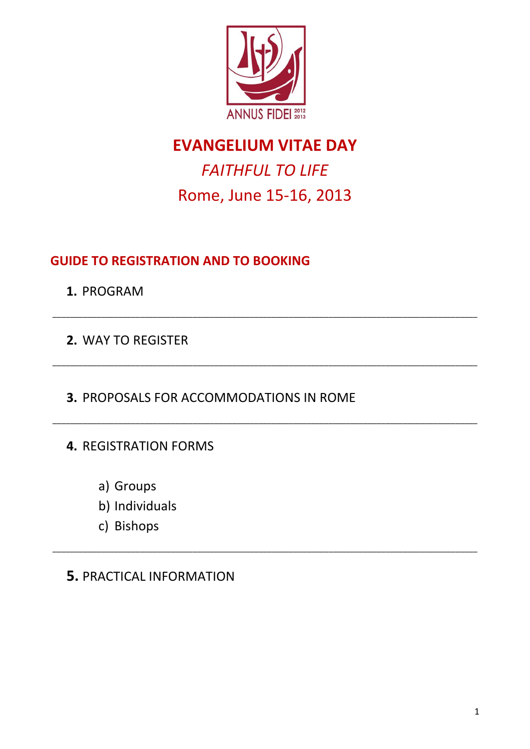

# *FAITHFUL TO LIFE* Rome, June 15-16, 2013

 $\_$  ,  $\_$  ,  $\_$  ,  $\_$  ,  $\_$  ,  $\_$  ,  $\_$  ,  $\_$  ,  $\_$  ,  $\_$  ,  $\_$  ,  $\_$  ,  $\_$  ,  $\_$  ,  $\_$  ,  $\_$  ,  $\_$  ,  $\_$  ,  $\_$  ,  $\_$  ,  $\_$  ,  $\_$  ,  $\_$  ,  $\_$  ,  $\_$  ,  $\_$  ,  $\_$  ,  $\_$  ,  $\_$  ,  $\_$  ,  $\_$  ,  $\_$  ,  $\_$  ,  $\_$  ,  $\_$  ,  $\_$  ,  $\_$  ,

 $\_$  ,  $\_$  ,  $\_$  ,  $\_$  ,  $\_$  ,  $\_$  ,  $\_$  ,  $\_$  ,  $\_$  ,  $\_$  ,  $\_$  ,  $\_$  ,  $\_$  ,  $\_$  ,  $\_$  ,  $\_$  ,  $\_$  ,  $\_$  ,  $\_$  ,  $\_$  ,  $\_$  ,  $\_$  ,  $\_$  ,  $\_$  ,  $\_$  ,  $\_$  ,  $\_$  ,  $\_$  ,  $\_$  ,  $\_$  ,  $\_$  ,  $\_$  ,  $\_$  ,  $\_$  ,  $\_$  ,  $\_$  ,  $\_$  ,

\_\_\_\_\_\_\_\_\_\_\_\_\_\_\_\_\_\_\_\_\_\_\_\_\_\_\_\_\_\_\_\_\_\_\_\_\_\_\_\_\_\_\_\_\_\_\_\_\_\_\_\_\_\_\_\_\_\_\_\_\_\_\_\_\_\_\_\_\_\_\_\_\_\_\_\_\_\_\_\_\_\_\_\_\_\_\_\_\_\_\_\_\_\_\_\_\_

\_\_\_\_\_\_\_\_\_\_\_\_\_\_\_\_\_\_\_\_\_\_\_\_\_\_\_\_\_\_\_\_\_\_\_\_\_\_\_\_\_\_\_\_\_\_\_\_\_\_\_\_\_\_\_\_\_\_\_\_\_\_\_\_\_\_\_\_\_\_\_\_\_\_\_\_\_\_\_\_\_\_\_\_\_\_\_\_\_\_\_\_\_\_\_\_\_

## **GUIDE TO REGISTRATION AND TO BOOKING**

**1.** PROGRAM

**2.** WAY TO REGISTER

**3.** PROPOSALS FOR ACCOMMODATIONS IN ROME

**4.** REGISTRATION FORMS

- a) Groups
- b) Individuals
- c) Bishops

## **5.** PRACTICAL INFORMATION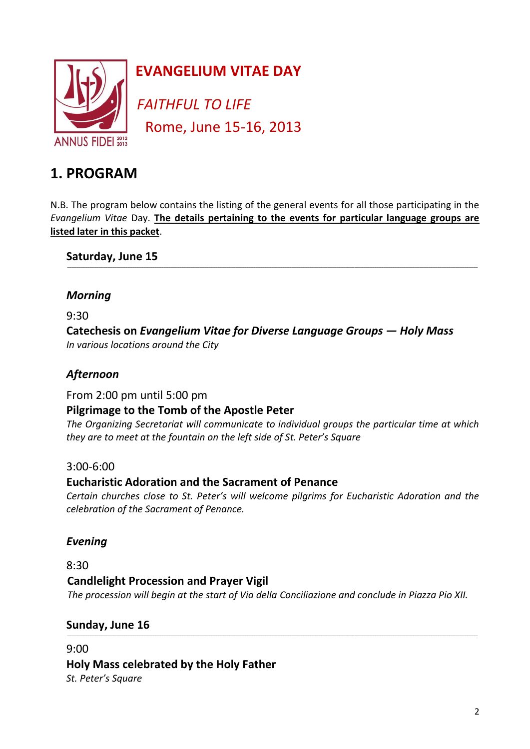

*FAITHFUL TO LIFE* Rome, June 15-16, 2013

## **1. PROGRAM**

N.B. The program below contains the listing of the general events for all those participating in the *Evangelium Vitae* Day. **The details pertaining to the events for particular language groups are listed later in this packet**.

\_\_\_\_\_\_\_\_\_\_\_\_\_\_\_\_\_\_\_\_\_\_\_\_\_\_\_\_\_\_\_\_\_\_\_\_\_\_\_\_\_\_\_\_\_\_\_\_\_\_\_\_\_\_\_\_\_\_\_\_\_\_\_\_\_\_\_\_\_\_\_\_\_\_\_\_\_\_\_\_\_\_\_\_\_\_\_\_\_\_\_\_\_\_\_\_\_\_\_\_\_\_\_\_\_\_\_\_\_\_\_\_\_\_\_\_\_\_\_\_\_\_\_\_\_\_\_\_\_\_\_\_\_\_\_\_\_\_\_\_\_\_\_\_\_\_\_\_\_\_\_\_\_\_\_\_\_\_\_\_\_\_\_\_\_\_\_\_\_\_\_\_\_\_\_\_\_\_\_\_\_\_\_

**Saturday, June 15** 

### *Morning*

9:30

**Catechesis on** *Evangelium Vitae for Diverse Language Groups — Holy Mass In various locations around the City*

## *Afternoon*

From 2:00 pm until 5:00 pm

## **Pilgrimage to the Tomb of the Apostle Peter**

*The Organizing Secretariat will communicate to individual groups the particular time at which they are to meet at the fountain on the left side of St. Peter's Square*

### 3:00-6:00

### **Eucharistic Adoration and the Sacrament of Penance**

*Certain churches close to St. Peter's will welcome pilgrims for Eucharistic Adoration and the celebration of the Sacrament of Penance.* 

## *Evening*

### 8:30

## **Candlelight Procession and Prayer Vigil**

 *The procession will begin at the start of Via della Conciliazione and conclude in Piazza Pio XII.*

\_\_\_\_\_\_\_\_\_\_\_\_\_\_\_\_\_\_\_\_\_\_\_\_\_\_\_\_\_\_\_\_\_\_\_\_\_\_\_\_\_\_\_\_\_\_\_\_\_\_\_\_\_\_\_\_\_\_\_\_\_\_\_\_\_\_\_\_\_\_\_\_\_\_\_\_\_\_\_\_\_\_\_\_\_\_\_\_\_\_\_\_\_\_\_\_\_\_\_\_\_\_\_\_\_\_\_\_\_\_\_\_\_\_\_\_\_\_\_\_\_\_\_\_\_\_\_\_\_\_\_\_\_\_\_\_\_\_\_\_\_\_\_\_\_\_\_\_\_\_\_\_\_\_\_\_\_\_\_\_\_\_\_\_\_\_\_\_\_\_\_\_\_\_\_\_\_\_\_\_\_\_\_

### **Sunday, June 16**

9:00 **Holy Mass celebrated by the Holy Father** *St. Peter's Square*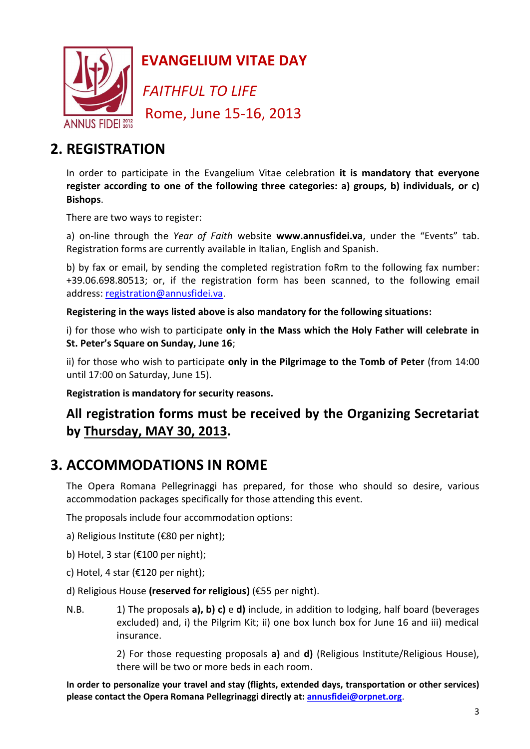

*FAITHFUL TO LIFE* Rome, June 15-16, 2013

## **2. REGISTRATION**

In order to participate in the Evangelium Vitae celebration **it is mandatory that everyone register according to one of the following three categories: a) groups, b) individuals, or c) Bishops**.

There are two ways to register:

a) on-line through the *Year of Faith* website **www.annusfidei.va**, under the "Events" tab. Registration forms are currently available in Italian, English and Spanish.

b) by fax or email, by sending the completed registration foRm to the following fax number: +39.06.698.80513; or, if the registration form has been scanned, to the following email address: [registration@annusfidei.va](mailto:registration@annusfidei.va).

**Registering in the ways listed above is also mandatory for the following situations:**

i) for those who wish to participate **only in the Mass which the Holy Father will celebrate in St. Peter's Square on Sunday, June 16**;

ii) for those who wish to participate **only in the Pilgrimage to the Tomb of Peter** (from 14:00 until 17:00 on Saturday, June 15).

**Registration is mandatory for security reasons.**

## **All registration forms must be received by the Organizing Secretariat by Thursday, MAY 30, 2013.**

## **3. ACCOMMODATIONS IN ROME**

The Opera Romana Pellegrinaggi has prepared, for those who should so desire, various accommodation packages specifically for those attending this event.

The proposals include four accommodation options:

a) Religious Institute (€80 per night);

- b) Hotel, 3 star (€100 per night);
- c) Hotel, 4 star (€120 per night);
- d) Religious House **(reserved for religious)** (€55 per night).
- N.B. 1) The proposals **a), b) c)** e **d)** include, in addition to lodging, half board (beverages excluded) and, i) the Pilgrim Kit; ii) one box lunch box for June 16 and iii) medical insurance.

2) For those requesting proposals **a)** and **d)** (Religious Institute/Religious House), there will be two or more beds in each room.

**In order to personalize your travel and stay (flights, extended days, transportation or other services) please contact the Opera Romana Pellegrinaggi directly at[: annusfidei@orpnet.org](mailto:annusfidei@orpnet.org)**.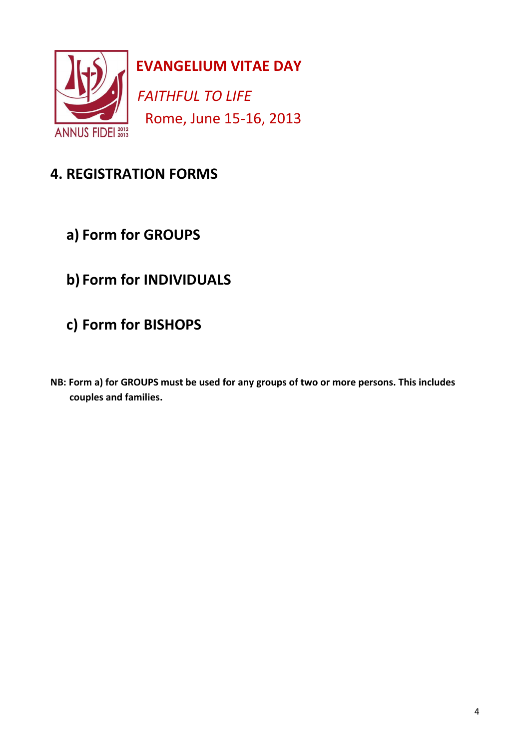

*FAITHFUL TO LIFE* Rome, June 15-16, 2013

# **4. REGISTRATION FORMS**

- **a) Form for GROUPS**
- **b) Form for INDIVIDUALS**
- **c) Form for BISHOPS**
- **NB: Form a) for GROUPS must be used for any groups of two or more persons. This includes couples and families.**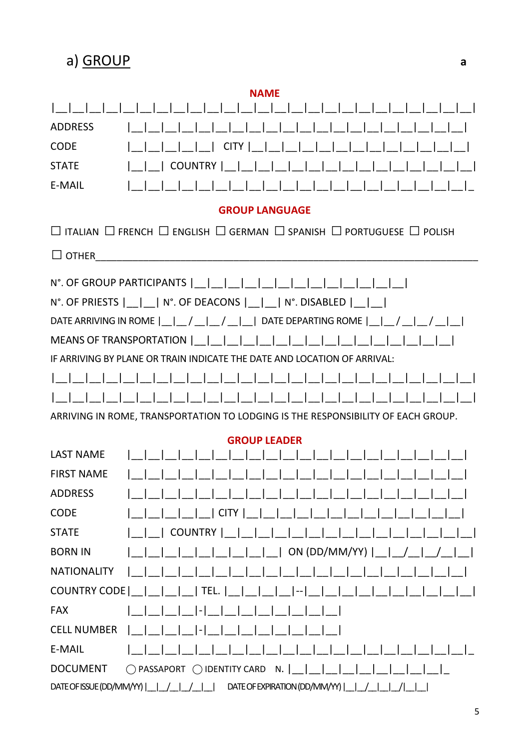a) GROUP

| <b>NAME</b>                                                                                              |
|----------------------------------------------------------------------------------------------------------|
|                                                                                                          |
| <b>ADDRESS</b>                                                                                           |
| <b>CODE</b><br><b>CITY</b>                                                                               |
| <b>STATE</b><br><b>COUNTRY</b>                                                                           |
| E-MAIL                                                                                                   |
| <b>GROUP LANGUAGE</b>                                                                                    |
| $\Box$ Italian $\Box$ French $\Box$ English $\Box$ German $\Box$ Spanish $\Box$ Portuguese $\Box$ Polish |
| $\Box$ OTHER                                                                                             |
| N°. OF GROUP PARTICIPANTS                                                                                |
| N°. OF PRIESTS  __ __  N°. OF DEACONS  __ __  N°. DISABLED  __ __                                        |
| DATE ARRIVING IN ROME     /   /     DATE DEPARTING ROME     /                                            |
| MEANS OF TRANSPORTATION                                                                                  |
| IF ARRIVING BY PLANF OR TRAIN INDICATE THE DATE AND LOCATION OF ARRIVAL:                                 |
|                                                                                                          |
|                                                                                                          |
| ARRIVING IN ROME, TRANSPORTATION TO LODGING IS THE RESPONSIBILITY OF EACH GROUP.                         |
| <b>GROUP LEADER</b>                                                                                      |
| <b>LAST NAME</b>                                                                                         |
| <b>FIRST NAME</b>                                                                                        |
| <b>ADDRESS</b>                                                                                           |
| <b>CODE</b><br><b>CITY</b>                                                                               |
| <b>STATE</b><br><b>COUNTRY</b>                                                                           |
| ON (DD/MM/YY)  <br><b>BORN IN</b>                                                                        |
| <b>NATIONALITY</b>                                                                                       |
| <b>COUNTRY CODE</b><br>TEL.                                                                              |
| <b>FAX</b>                                                                                               |
| <b>CELL NUMBER</b>                                                                                       |
| E-MAIL                                                                                                   |
| <b>DOCUMENT</b><br>◯ IDENTITY CARD<br>N.<br>$\bigcirc$ PASSAPORT                                         |
| DATE OF ISSUE (DD/MM/YY)  <br>DATE OF EXPIRATION (DD/MM/YY)                                              |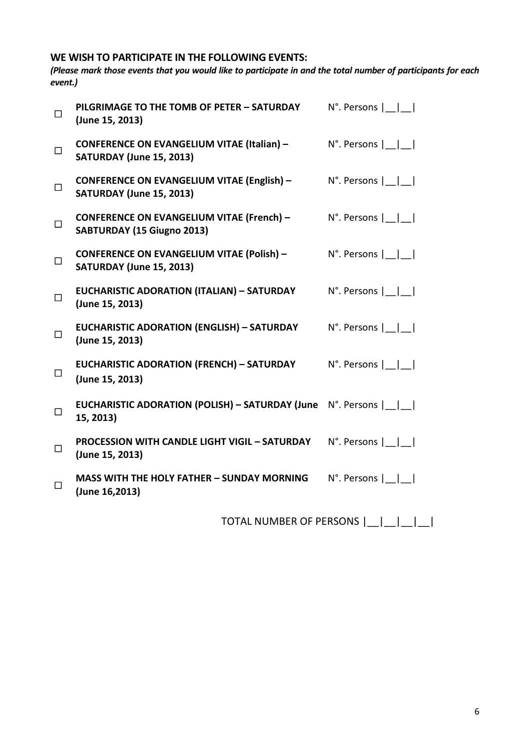### **WE WISH TO PARTICIPATE IN THE FOLLOWING EVENTS:**

*(Please mark those events that you would like to participate in and the total number of participants for each event.)*

| П            | PILGRIMAGE TO THE TOMB OF PETER - SATURDAY<br>(June 15, 2013)                        | $N^{\circ}$ . Persons $  \cdot  $ |
|--------------|--------------------------------------------------------------------------------------|-----------------------------------|
| $\Box$       | <b>CONFERENCE ON EVANGELIUM VITAE (Italian) -</b><br><b>SATURDAY (June 15, 2013)</b> | $N^{\circ}$ . Persons $  \cdot  $ |
| $\Box$       | <b>CONFERENCE ON EVANGELIUM VITAE (English) -</b><br>SATURDAY (June 15, 2013)        | $N^{\circ}$ . Persons $  \cdot  $ |
| $\Box$       | <b>CONFERENCE ON EVANGELIUM VITAE (French) -</b><br>SABTURDAY (15 Giugno 2013)       | $N^{\circ}$ . Persons $ \_ $      |
| $\Box$       | <b>CONFERENCE ON EVANGELIUM VITAE (Polish) -</b><br><b>SATURDAY (June 15, 2013)</b>  | $N^{\circ}$ . Persons $  \cdot  $ |
| $\Box$       | <b>EUCHARISTIC ADORATION (ITALIAN) - SATURDAY</b><br>(June 15, 2013)                 | $N^{\circ}$ . Persons $  \cdot  $ |
| $\Box$       | <b>EUCHARISTIC ADORATION (ENGLISH) - SATURDAY</b><br>(June 15, 2013)                 | $N^{\circ}$ . Persons $  \cdot  $ |
| $\Box$       | <b>EUCHARISTIC ADORATION (FRENCH) - SATURDAY</b><br>(June 15, 2013)                  | $N^{\circ}$ . Persons $  \cdot  $ |
| $\Box$       | EUCHARISTIC ADORATION (POLISH) - SATURDAY (June N°. Persons      <br>15, 2013)       |                                   |
| $\Box$       | <b>PROCESSION WITH CANDLE LIGHT VIGIL - SATURDAY</b><br>(June 15, 2013)              | $N^{\circ}$ . Persons $  \cdot  $ |
| $\mathbf{L}$ | <b>MASS WITH THE HOLY FATHER - SUNDAY MORNING</b><br>(June 16,2013)                  | $N^{\circ}$ . Persons $  \cdot  $ |

TOTAL NUMBER OF PERSONS  $|\_| = |\_| = |\_$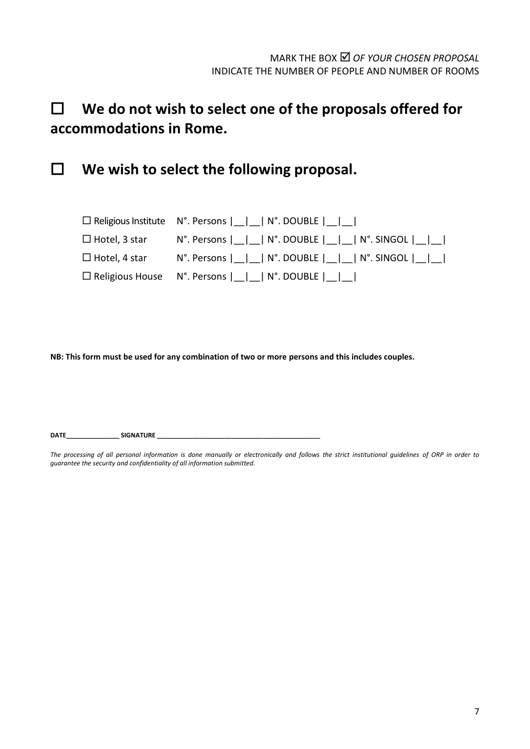# **We do not wish to select one of the proposals offered for accommodations in Rome.**

**We wish to select the following proposal.**

|                      | $\Box$ Religious Institute $N^{\circ}$ . Persons $ \Box  \Box  \ N^{\circ}$ . DOUBLE $ \Box  \Box  \Box $           |
|----------------------|---------------------------------------------------------------------------------------------------------------------|
|                      | $\Box$ Hotel, 3 star N°. Persons $ \_ \_ \_ \$ N°. DOUBLE $ \_ \_ \_ \$ N°. SINGOL $ \_ \_ \_$                      |
| $\Box$ Hotel, 4 star | $N^{\circ}$ . Persons $ $ $ $ $ $ $ $ $N^{\circ}$ . DOUBLE $ $ $ $ $ $ $ $ $ $ $N^{\circ}$ . SINGOL $ $ $ $ $ $ $ $ |
|                      | $\Box$ Religious House $\land$ N°. Persons $\vert \vert \vert \vert \land$ N°. DOUBLE $\vert \vert \vert \vert$     |

**NB: This form must be used for any combination of two or more persons and this includes couples.**

**DATE\_\_\_\_\_\_\_\_\_\_\_\_\_\_\_ SIGNATURE \_\_\_\_\_\_\_\_\_\_\_\_\_\_\_\_\_\_\_\_\_\_\_\_\_\_\_\_\_\_\_\_\_\_\_\_\_\_\_\_\_\_\_\_\_\_**

*The processing of all personal information is done manually or electronically and follows the strict institutional guidelines of ORP in order to guarantee the security and confidentiality of all information submitted.*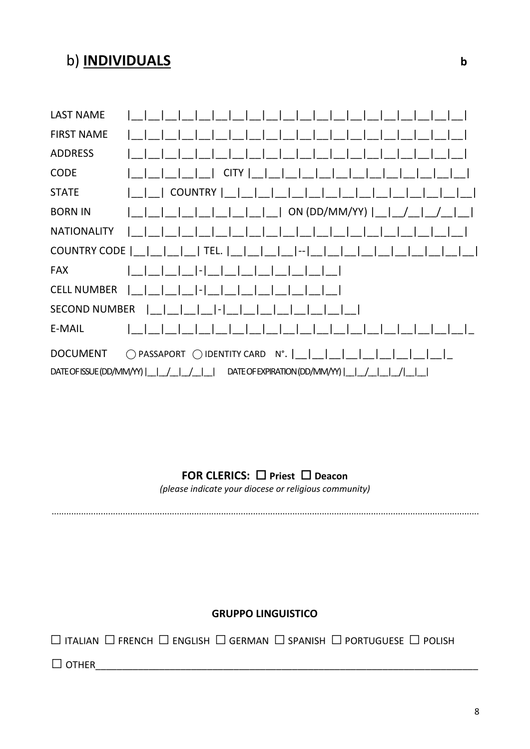## b) **INDIVIDUALS**

| <b>LAST NAME</b>                                          |                                                               |  |  |  |  |
|-----------------------------------------------------------|---------------------------------------------------------------|--|--|--|--|
| <b>FIRST NAME</b>                                         |                                                               |  |  |  |  |
| <b>ADDRESS</b>                                            |                                                               |  |  |  |  |
| <b>CODE</b>                                               | CITY                                                          |  |  |  |  |
| <b>STATE</b>                                              | <b>COUNTRY</b>                                                |  |  |  |  |
| <b>BORN IN</b>                                            | ON (DD/MM/YY) $\vert$ _                                       |  |  |  |  |
| <b>NATIONALITY</b>                                        |                                                               |  |  |  |  |
| <b>COUNTRY CODE</b>                                       | $ $ TEL. $ $<br>$ -1$                                         |  |  |  |  |
| <b>FAX</b>                                                | $\overline{a}$                                                |  |  |  |  |
| <b>CELL NUMBER</b>                                        | $\overline{a}$                                                |  |  |  |  |
| <b>SECOND NUMBER</b>                                      | $\mathsf{I}$ –                                                |  |  |  |  |
| E-MAIL                                                    |                                                               |  |  |  |  |
| <b>DOCUMENT</b>                                           | $\bigcirc$ IDENTITY CARD N°. $\bigcup$<br>$\bigcap$ PASSAPORT |  |  |  |  |
| DATE OF ISSUE (DD/MM/YY)<br>DATE OF EXPIRATION (DD/MM/YY) |                                                               |  |  |  |  |

## FOR CLERICS: □ Priest □ Deacon

(please indicate your diocese or religious community)

### **GRUPPO LINGUISTICO**

 $\Box$  Italian  $\Box$  French  $\Box$  English  $\Box$  German  $\Box$  Spanish  $\Box$  Portuguese  $\Box$  Polish

 $\Box$  OTHER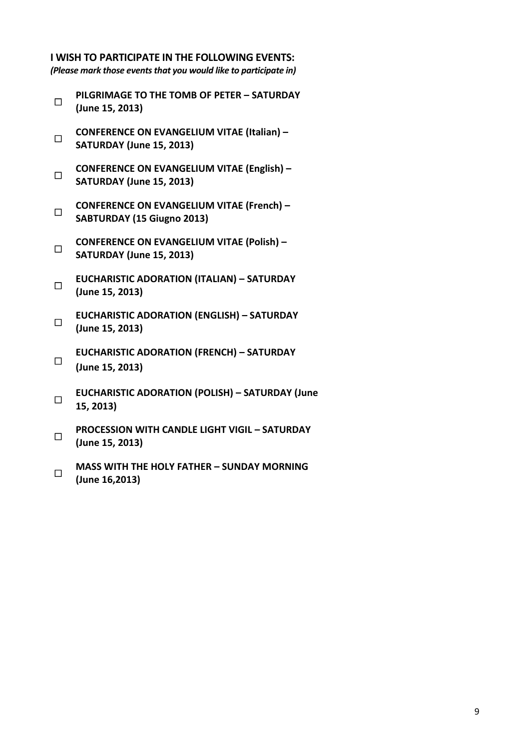#### **I WISH TO PARTICIPATE IN THE FOLLOWING EVENTS:**

*(Please mark those events that you would like to participate in)*

- $\Box$ **PILGRIMAGE TO THE TOMB OF PETER – SATURDAY (June 15, 2013)**
- $\Box$ **CONFERENCE ON EVANGELIUM VITAE (Italian) – SATURDAY (June 15, 2013)**
- $\Box$ **CONFERENCE ON EVANGELIUM VITAE (English) – SATURDAY (June 15, 2013)**
- $\Box$ **CONFERENCE ON EVANGELIUM VITAE (French) – SABTURDAY (15 Giugno 2013)**
- $\Box$ **CONFERENCE ON EVANGELIUM VITAE (Polish) – SATURDAY (June 15, 2013)**
- $\Box$ **EUCHARISTIC ADORATION (ITALIAN) – SATURDAY (June 15, 2013)**
- $\Box$ **EUCHARISTIC ADORATION (ENGLISH) – SATURDAY (June 15, 2013)**
- $\Box$ **EUCHARISTIC ADORATION (FRENCH) – SATURDAY (June 15, 2013)**
- $\Box$ **EUCHARISTIC ADORATION (POLISH) – SATURDAY (June 15, 2013)**
- $\Box$ **PROCESSION WITH CANDLE LIGHT VIGIL – SATURDAY (June 15, 2013)**
- $\Box$ **MASS WITH THE HOLY FATHER – SUNDAY MORNING (June 16,2013)**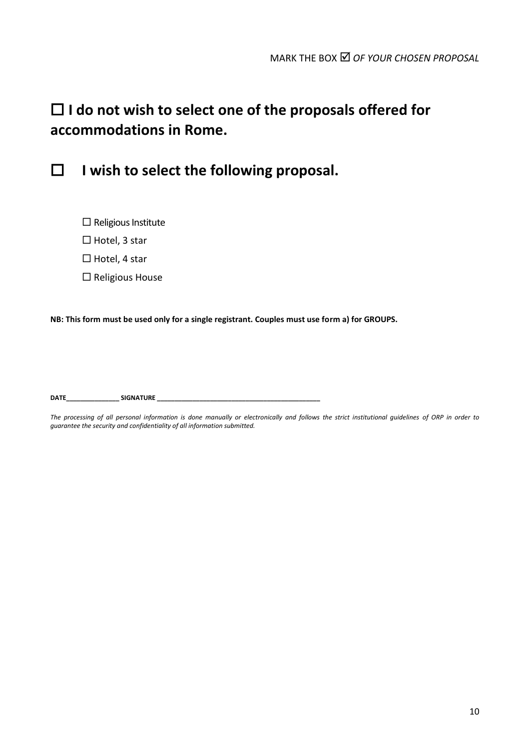# **I do not wish to select one of the proposals offered for accommodations in Rome.**



**I wish to select the following proposal.**

- $\square$  Religious Institute
- $\Box$  Hotel, 3 star
- $\Box$  Hotel, 4 star
- $\square$  Religious House

**NB: This form must be used only for a single registrant. Couples must use form a) for GROUPS.**

**DATE\_\_\_\_\_\_\_\_\_\_\_\_\_\_\_ SIGNATURE \_\_\_\_\_\_\_\_\_\_\_\_\_\_\_\_\_\_\_\_\_\_\_\_\_\_\_\_\_\_\_\_\_\_\_\_\_\_\_\_\_\_\_\_\_\_**

*The processing of all personal information is done manually or electronically and follows the strict institutional guidelines of ORP in order to guarantee the security and confidentiality of all information submitted.*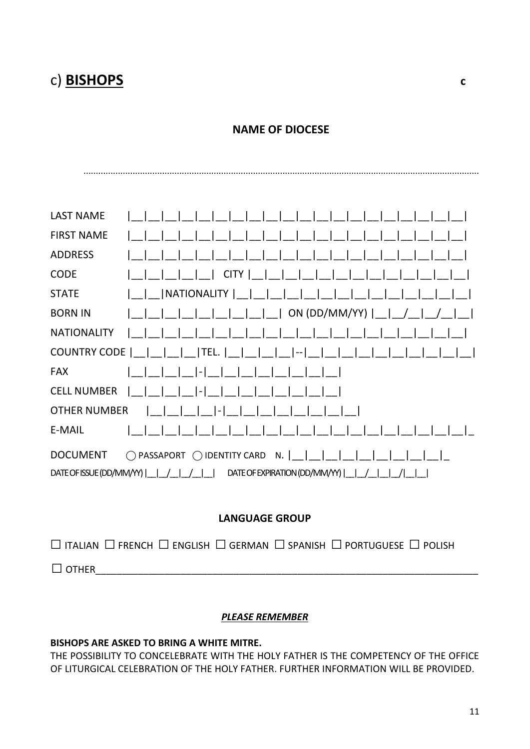# c) **BISHOPS c**

### **NAME OF DIOCESE**

.................................................................................................................................................................

| <b>LAST NAME</b>         |                                                |
|--------------------------|------------------------------------------------|
| <b>FIRST NAME</b>        |                                                |
| <b>ADDRESS</b>           |                                                |
| <b>CODE</b>              | CITY                                           |
| <b>STATE</b>             | NATIONALITY                                    |
| <b>BORN IN</b>           | ON (DD/MM/YY) $\vert$ __                       |
| <b>NATIONALITY</b>       |                                                |
| <b>COUNTRY CODE</b>      | TEL. <br>$ - $                                 |
| <b>FAX</b>               | $ - $                                          |
| <b>CELL NUMBER</b>       | $\overline{a}$                                 |
| <b>OTHER NUMBER</b>      | $\overline{\phantom{a}}$                       |
| E-MAIL                   |                                                |
| <b>DOCUMENT</b>          | IDENTITY CARD N.<br>$\bigcap$ PASSAPORT<br>( ) |
| DATE OF ISSUE (DD/MM/YY) | DATE OF EXPIRATION (DD/MM/YY)                  |

### **LANGUAGE GROUP**

|              |  |  | $\Box$ Italian $\Box$ French $\Box$ English $\Box$ German $\Box$ Spanish $\Box$ Portuguese $\Box$ Polish |  |
|--------------|--|--|----------------------------------------------------------------------------------------------------------|--|
| $\Box$ OTHER |  |  |                                                                                                          |  |

#### *PLEASE REMEMBER*

#### **BISHOPS ARE ASKED TO BRING A WHITE MITRE.**

THE POSSIBILITY TO CONCELEBRATE WITH THE HOLY FATHER IS THE COMPETENCY OF THE OFFICE OF LITURGICAL CELEBRATION OF THE HOLY FATHER. FURTHER INFORMATION WILL BE PROVIDED.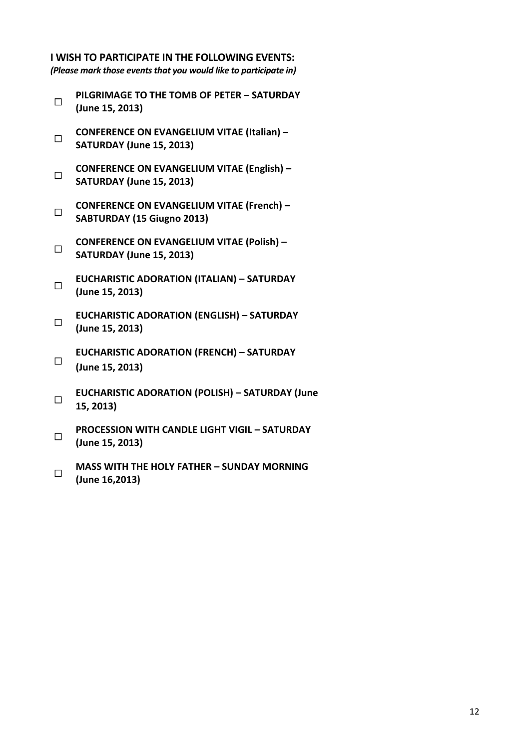### **I WISH TO PARTICIPATE IN THE FOLLOWING EVENTS:**

*(Please mark those events that you would like to participate in)*

- $\Box$ **PILGRIMAGE TO THE TOMB OF PETER – SATURDAY (June 15, 2013)**
- $\Box$ **CONFERENCE ON EVANGELIUM VITAE (Italian) – SATURDAY (June 15, 2013)**
- $\Box$ **CONFERENCE ON EVANGELIUM VITAE (English) – SATURDAY (June 15, 2013)**
- $\Box$ **CONFERENCE ON EVANGELIUM VITAE (French) – SABTURDAY (15 Giugno 2013)**
- $\Box$ **CONFERENCE ON EVANGELIUM VITAE (Polish) – SATURDAY (June 15, 2013)**
- $\Box$ **EUCHARISTIC ADORATION (ITALIAN) – SATURDAY (June 15, 2013)**
- $\Box$ **EUCHARISTIC ADORATION (ENGLISH) – SATURDAY (June 15, 2013)**
- $\Box$ **EUCHARISTIC ADORATION (FRENCH) – SATURDAY (June 15, 2013)**
- $\Box$ **EUCHARISTIC ADORATION (POLISH) – SATURDAY (June 15, 2013)**
- $\Box$ **PROCESSION WITH CANDLE LIGHT VIGIL – SATURDAY (June 15, 2013)**
- $\Box$ **MASS WITH THE HOLY FATHER – SUNDAY MORNING (June 16,2013)**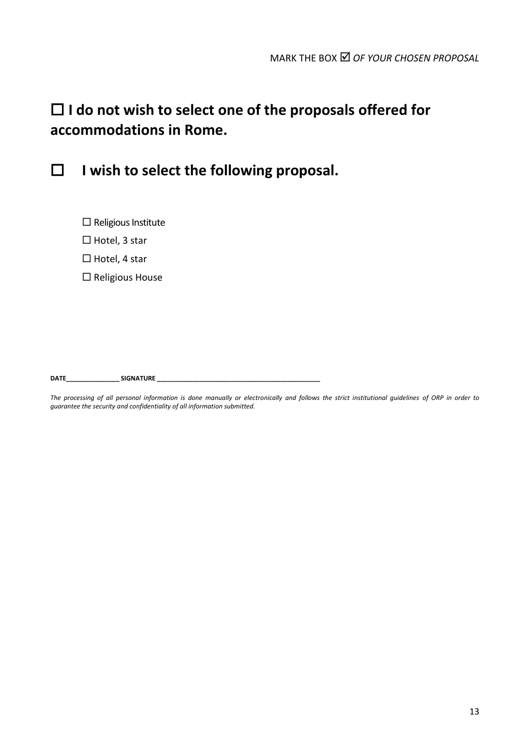# **I do not wish to select one of the proposals offered for accommodations in Rome.**



**I wish to select the following proposal.**

- $\square$  Religious Institute
- $\Box$  Hotel, 3 star
- $\Box$  Hotel, 4 star
- $\square$  Religious House

**DATE\_\_\_\_\_\_\_\_\_\_\_\_\_\_\_ SIGNATURE \_\_\_\_\_\_\_\_\_\_\_\_\_\_\_\_\_\_\_\_\_\_\_\_\_\_\_\_\_\_\_\_\_\_\_\_\_\_\_\_\_\_\_\_\_\_**

*The processing of all personal information is done manually or electronically and follows the strict institutional guidelines of ORP in order to guarantee the security and confidentiality of all information submitted.*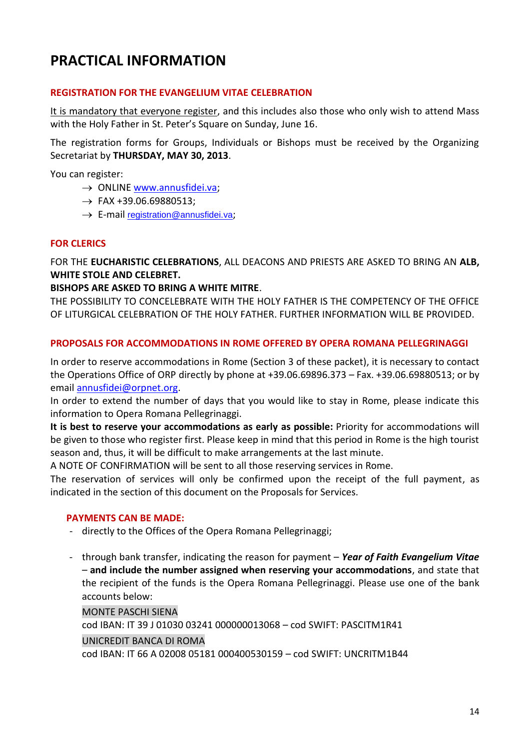## **PRACTICAL INFORMATION**

#### **REGISTRATION FOR THE EVANGELIUM VITAE CELEBRATION**

It is mandatory that everyone register, and this includes also those who only wish to attend Mass with the Holy Father in St. Peter's Square on Sunday, June 16.

The registration forms for Groups, Individuals or Bishops must be received by the Organizing Secretariat by **THURSDAY, MAY 30, 2013**.

You can register:

- $\rightarrow$  ONLINE [www.annusfidei.va;](http://www.annusfidei.va/)
- $\rightarrow$  FAX +39.06.69880513:
- $\rightarrow$  E-mail [registration@annusfidei.va](mailto:registration@annusfidei.va):

#### **FOR CLERICS**

FOR THE **EUCHARISTIC CELEBRATIONS**, ALL DEACONS AND PRIESTS ARE ASKED TO BRING AN **ALB, WHITE STOLE AND CELEBRET.**

#### **BISHOPS ARE ASKED TO BRING A WHITE MITRE**.

THE POSSIBILITY TO CONCELEBRATE WITH THE HOLY FATHER IS THE COMPETENCY OF THE OFFICE OF LITURGICAL CELEBRATION OF THE HOLY FATHER. FURTHER INFORMATION WILL BE PROVIDED.

#### **PROPOSALS FOR ACCOMMODATIONS IN ROME OFFERED BY OPERA ROMANA PELLEGRINAGGI**

In order to reserve accommodations in Rome (Section 3 of these packet), it is necessary to contact the Operations Office of ORP directly by phone at +39.06.69896.373 – Fax. +39.06.69880513; or by email [annusfidei@orpnet.org.](mailto:annusfidei@orpnet.org)

In order to extend the number of days that you would like to stay in Rome, please indicate this information to Opera Romana Pellegrinaggi.

**It is best to reserve your accommodations as early as possible:** Priority for accommodations will be given to those who register first. Please keep in mind that this period in Rome is the high tourist season and, thus, it will be difficult to make arrangements at the last minute.

A NOTE OF CONFIRMATION will be sent to all those reserving services in Rome.

The reservation of services will only be confirmed upon the receipt of the full payment, as indicated in the section of this document on the Proposals for Services.

#### **PAYMENTS CAN BE MADE:**

- directly to the Offices of the Opera Romana Pellegrinaggi;
- through bank transfer, indicating the reason for payment *Year of Faith Evangelium Vitae –* **and include the number assigned when reserving your accommodations**, and state that the recipient of the funds is the Opera Romana Pellegrinaggi. Please use one of the bank accounts below:

MONTE PASCHI SIENA

cod IBAN: IT 39 J 01030 03241 000000013068 – cod SWIFT: PASCITM1R41

#### UNICREDIT BANCA DI ROMA

cod IBAN: IT 66 A 02008 05181 000400530159 – cod SWIFT: UNCRITM1B44